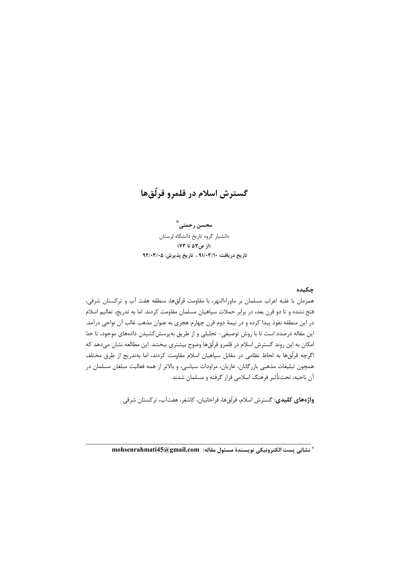# گسترش اسلام در قلمرو قرلُقها

محسن رحمتے، ٌ دانشيار گروه تاريخ دانشگاه لرستان (از ص٥٣ تا ٧٣) تاريخ دريافت: ٩١/٠٣/١٠ ، تاريخ پذيرش: ٩٢/٠٣/٠٥

# چکیده

همزمان با غلبه اعراب مسلمان بر ماوراءالنهر، با مقاومت قرلُقها، منطقه هفت آب و ترکستان شرقی، فتح نشده و تا دو قرن بعد، در برابر حملات سپاهیان مسلمان مقاومت کردند. اما به تدریج، تعالیم اسلام در این منطقه نفوذ پیدا کرده و در نیمهٔ دوم قرن چهارم هجری به عنوان مذهب غالب آن نواحی درآمد. این مقاله درصدد است تا با روش توصیفی- تحلیلی و از طریق بهپرسش کشیدن دادههای موجود، تا حدّ امکان به این روند گسترش اسلام در قلمرو قرلُقها وضوح بیشتری ببخشد. این مطالعه نشان میدهد که اگرچه قرلُقها به لحاظ نظامی در مقابل سپاهیان اسلام مقاومت کردند، اما بهتدریج از طرق مختلف همچون تبلیغات مذهبی بازرگانان، غازیان، مراودات سیاسی، و بالاتر از همه فعالیت مبلغان مسلمان در آن ناحيه، تحتتأثير فرهنگ اسلامي قرار گرفته و مسلمان شدند.

**واژەهای کلیدی:** گسترش اسلام، قرلُقها، قراخانیان، کاشغر، هفتآب، ترکستان شرقی

\* نشاني يست الكترونيكي نويسندة مسئول مقاله: mohsenrahmati45@gmail.com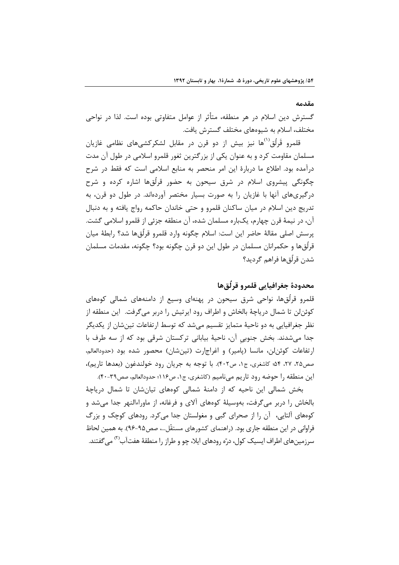#### مقدمه

گسترش دین اسلام در هر منطقه، متأثر از عوامل متفاوتی بوده است. لذا در نواحی مختلف، اسلام به شیوههای مختلف گسترش یافت.

قلمرو قَرِلُق<sup>(۱</sup>ٌها نیز بیش از دو قرن در مقابل لشکرکشی،های نظامی غازیان مسلمان مقاومت کرد و به عنوان یکی از بزرگترین ثغور قلمرو اسلامی در طول آن مدت درآمده بود. اطلاع ما دربارهٔ این امر منحصر به منابع اسلامی است که فقط در شرح چگونگی پیشروی اسلام در شرق سیحون به حضور قرلٌقها اشاره کرده و شرح درگیریهای آنها با غازیان را به صورت بسیار مختصر آوردهاند. در طول دو قرن، به تدریج دین اسلام در میان ساکنان قلمرو و حتی خاندان حاکمه رواج یافته و به دنبال آن، در نیمهٔ قرن چهارم، یکباره مسلمان شده، آن منطقه جزئی از قلمرو اسلامی گشت. يرسش اصلي مقالهٔ حاضر اين است: اسلام چگونه وارد قلمرو قرِلُق@ا شد؟ رابطهٔ ميان قرلُقها و حکمرانان مسلمان در طول این دو قرن چگونه بود؟ چگونه، مقدمات مسلمان شدن قرلُقαما فراهم گرديد؟

# محدودة جغرافيايي قلمرو قرلُق ها

قلمرو قرلّقها، نواحی شرق سیحون در پهنهای وسیع از دامنههای شمالی کوههای كوئن لن تا شمال درياچهٔ بالخاش و اطراف رود ايرتيش را دربر ميگرفت. اين منطقه از نظر جغرافیایی به دو ناحیهٔ متمایز تقسیم میشد که توسط ارتفاعات تینشان از یکدیگر جدا می شدند. بخش جنوبی آن، ناحیهٔ بیابانی ترکستان شرقی بود که از سه طرف با ارتفاعات کوئن لن، مانسا (پامیر) و اغراجارت (تینشان) محصور شده بود (حدودالعالم، صص۲۵، ۲۷، ۵۴؛ کاشغری، ج۰۱، ص۴۰۲). با توجه به جریان رود خولندغون (بعدها تاریم)، این منطقه را حوضه رود تاریم میiامیم (کاشغری، ج۱، ص۱۱۶؛ حدودالعالم، صص۳۹-۴۰).

بخش شمالی این ناحیه که از دامنهٔ شمالی کوههای تیانشان تا شمال دریاچهٔ بالخاش را دربر میگرفت، بهوسیلهٔ کوههای آلای و فرغانه، از ماوراءالنهر جدا میشد و کوههای آلتایی، آن را از صحرای گبی و مغولستان جدا می کرد. رودهای کوچک و بزرگ فراوانی در این منطقه جاری بود. (راهنمای کشورهای مستقّل…، صص۹۵-۹۶). به همین لحاظ سرزمینهای اطراف ایسیک کول، درّه رودهای ایلا، چو و طراز را منطقهٔ هفتآب<sup>(۲)</sup> می گفتند.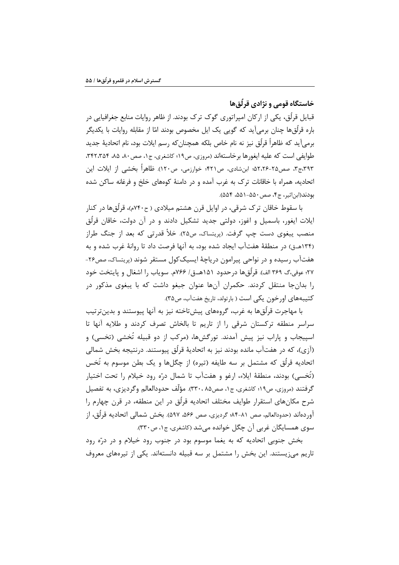خاستگاه قومی و نژادی قرلّقها

قبایل قرلُق، یکی از ارکان امپراتوری گوک ترک بودند. از ظاهر روایات منابع جغرافیایی در باره قرلُقها چنان برمیآید که گویی یک ایل مخصوص بودند امّا از مقابله روایات با یکدیگر برمي]َيد كه ظاهراً قرلُق نيز نه نام خاص بلكه همچنانِكه رسم ايلات بود، نام اتحاديهٔ جديد طوايفي است كه عليه ايغورها برخاستهاند (مروزي، ص١٩؛ كاشغري، ج١، صص٨٠، ٨٥، ٣٤٢،٣٥۴. ۳۹۳،ج۳، صص۲۰۵-۵۲،۲۶؛ ابنِشادی، ص۴۲۱؛ خوارزمی، ص۱۲۰). ظاهراً بخشی از ایلات این اتحادیه، همراه با خاقانات ترک به غرب آمده و در دامنهٔ کوههای خلخ و فرغانه ساکن شده بودند(ابن|ثير، ج۴، صص ۵۵۰–۵۵۱، ۵۵۴).

با سقوط خاقان ترک شرقی، در اوایل قرن هشتم میلادی ( ح۲۴۰م)، قرلُق۱۵ در کنار ایلات ایغور، باسمیل و اغوز، دولتی جدید تشکیل دادند و در آن دولت، خاقان قرلُق منصب يبغوي دست چپ گرفت. (پريتساک، ص٢۵). خلأ قدرتي که بعد از جنگ طراز (۱۳۴هـق) در منطقهٔ هفتآب ایجاد شده بود، به آنها فرصت داد تا روانهٔ غرب شده و به هفتآب رسیده و در نواحی پیرامون دریاچهٔ ایسیککول مستقر شوند (پریتساک، صص۲۶-٢٧؛ عوفي،گ ٣۶٩ الف). قر لُق@ا درحدود ١۵١هــق/ ٧۶۶م. سوياب را اشغال و پايتخت خود را بدانجا منتقل کردند. حکمران آنها عنوان جبغو داشت که با پبغوی مذکور در کتیبههای اورخون یکی است ( بارتولد، تاریخ هفتآب، ص۳۵).

با مهاجرت قرلّقها به غرب، گروههای پیشتاخته نیز به آنها پیوستند و بدینترتیب سراسر منطقه ترکستان شرقی را از تاریم تا بالخاش تصرف کردند و طلایه آنها تا اسپیجاب و پاراب نیز پیش آمدند. تورگشها، (مرکب از دو قبیله تُخشی (تخسی) و (آزی)، که در هفتآب مانده بودند نیز به اتحادیهٔ قرلُق پیوستند. درنتیجه بخش شمالی اتحادیه قرِلُق که مشتمل بر سه طایفه (تیره) از چگلها و یک بطن موسوم به تُخس (تُخسى) بودند، منطقهٔ ايلاء، ارغو و هفتآب تا شمال درّه رود خيلام را تحت اختيار گرفتند (مروزي، ص١٩؛ كاشغري، ج١، صص٨٥ ،٣٣٠٠). مؤلَّف حدودالعالم وگرديزي، به تفصيل شرح مکانهای استقرار طوایف مختلف اتحادیه قرلُق در این منطقه، در قرن چهارم را آوردهاند (حدودالعالم، صص ٨١-٨۴؛ گرديزي، صص ٥۶۶، ۵۹۷). بخش شمالي اتحاديه قرلُق، از سوي همسايگان غربي آن چگل خوانده مي شد (کاشغري، ج۱، ص۳۳۰).

بخش جنوبی اتحادیه که به یغما موسوم بود در جنوب رود خیلام و در درّه رود تاریم می; پستند. این بخش را مشتمل بر سه قبیله دانستهاند. یکی از تیرههای معروف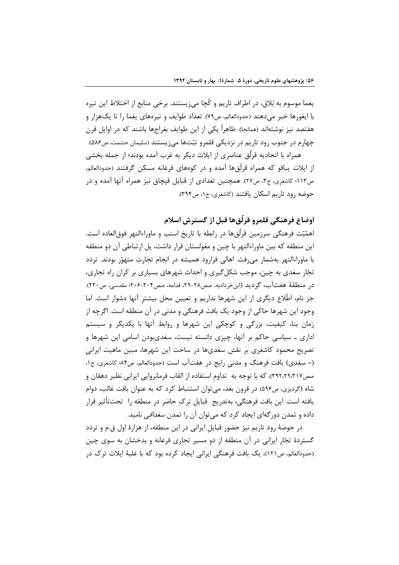يغما موسوم به بُلاق، در اطراف تاريم و كَچا ميزيستند. برخي منابع از اختلاط اين تيره با ایغورها خبر میدهند (حدودالعالم، ص٧٩). تعداد طوایف و تیرههای یغما را تا یکهزار و هفتصد نیز نوشتهاند (همانجا). ظاهراً یکی از این طوایف بغراجها باشند که در اوایل قرن چهارم در جنوب رود تاریم در نزدیکی قلمرو تبّتها می; پستند (سلیمان حشمت، ص۵۸۶).

همراه با اتحادیه قرلُق عناصری از ایلات دیگر به غرب آمده بودند؛ از جمله بخشی از ایلات یباقو که همراه قرلُقها آمده و در کوههای فرغانه مسکن گرفتند (حدودالعالم، ص١١٣؛ كاشغرى، ج٣، ص٢٧). همچنين تعدادى از قبايل قپچاق نيز همراه آنها آمده و در حوضه رود تاريم اسكان يافتند (كاشغرى، ج۱، ص۳۹۴).

اوضاع فرهنگي قلمرو قرِلُقِها قبل از گسترش اسلام

اهمّیّت فرهنگی سرزمین قرلُق@ا در رابطه با تاریخ استپ و ماوراءالنهر فوق|لعاده است. این منطقه که بین ماوراءالنهر با چین و مغولستان قرار داشت، پل ارتباطی آن دو منطقه با ماوراءالنهر بهشمار می رفت. اهالی فرارود همیشه در انجام تجارت متهوّر بودند. تردد تجّار سغدی به چین، موجب شکل گیری و احداث شهرهای بسیاری بر کران راه تجاری، در منطقهٔ هفتآب، گردید (ابنخردادبه، صص۲۸-۲۹، قدامه، صص۲۰۴-۲۰۶؛ مقدسی، ص۲۲۰). جز نام، اطِّلاع دیگری از این شهرها نداریم و تعیین محل بیشتر آنها دشوار است. اما وجود این شهرها حاکی از وجود یک بافت فرهنگی و مدنی در آن منطقه است. اگرچه از زمان بنا، کیفیت، بزرگی و کوچکی این شهرها و روابط آنها با یکدیگر و سیستم اداری ـ سیاسی حاکم بر آنها، چیزی دانسته نیست، سغدیبودن اسامی این شهرها و تصریح محمود کاشغری بر نقش سغدیها در ساخت این شهرها، مبین ماهیت ایرانی (= سغدی) بافت فرهنگ و مدنی رایج در هفتآب است (حدودالعالم، ص۸۴؛ کاشغری، ج۱، صص٣٩٢،٢٩،٣١٧)، كه با توجه به تداوم استفاده از القاب فرمانروايي ايراني نظير دهقان و شاه (گردیزی، ص۵۹۶) در قرون بعد، میتوان استنباط کرد که به عنوان بافت غالب، دوام يافته است. اين بافت فرهنگي، بهتدريج قبايل ترک حاضر در منطقه را تحت<code>تأثير قرار</code> داده و تمدن دور گەای ایجاد کرد که می توان آن را تمدن *سغداقی* نامید.

در حوضهٔ رود تاریم نیز حضور قبایل ایرانی در این منطقه، از هزارهٔ اول ق.م و تردد گستردهٔ تجّار ایرانی در آن منطقه از دو مسیر تجاری فرغانه و بدخشان به سوی چین (حدودالعالم، ص١٢١)، یک بافت فرهنگی ایرانی ایجاد کرده بود که با غلبهٔ ایلات ترک در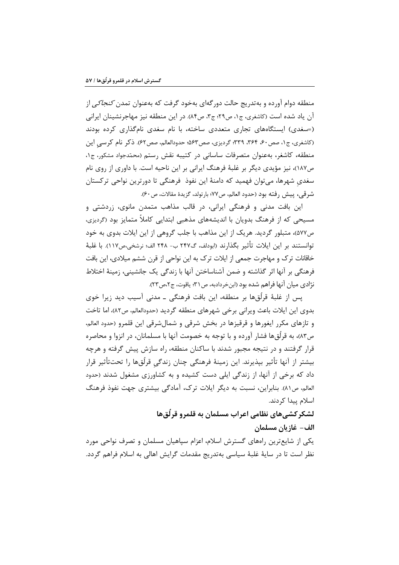منطقه دوام آورده و بهتدریج حالت دور گهای بهخود گرفت که بهعنوان تمدن *کنجاکی* از آن یاد شده است (کاشغری، ج۱، ص۲۹؛ ج۳، ص۸۴). در این منطقه نیز مهاجرنشینان ایرانی (=سغدی) ایستگاههای تجاری متعددی ساخته، با نام سغدی نامگذاری کرده بودند (كاشغري، ج١، صص٤٠، ٣۶۴، ٣٣٩؛ گرديزي، صص٥٣: حدودالعالم، صص٥٢). ذكر نام كرسي اين منطقه، كاشغر، بهعنوان متصرفات ساساني در كتيبه نقش رستم (محمّدجواد مشكور، ج١، ص١٨٧)، نيز مؤيدي ديگر بر غلبهٔ فرهنگ ايراني بر اين ناحيه است. با داوري از روي نام سغدی شهرها، میتوان فهمید که دامنهٔ این نفوذ فرهنگی تا دورترین نواحی ترکستان شر قي، ييش رفته بود (حدود العالم، ص٧٧؛ بارتولد، گزيدهٔ مقالات، ص٤٠).

این بافت مدنی و فرهنگی ایرانی، در قالب مذاهب متمدن مانوی، زردشتی و مسیحی که از فرهنگ بدویان با اندیشههای مذهبی ابتدایی کاملاً متمایز بود (گردیزی، ص٧٧)، متبلور گرديد. هريک از اين مذاهب با جلب گروهي از اين ايلات بدوي به خود توانستند بر اين ايلات تأثير بگذارند (ابودلف، گ٢۴٧ ب- ٢۴٨ الف؛ نرشخي،ص١١٧). با غلبهٔ خاقانات ترک و مهاجرت جمعی از ایلات ترک به این نواحی از قرن ششم میلادی، این بافت فرهنگی بر آنها اثر گذاشته و ضمن آشناساختن آنها با زندگی یک جانشینی، زمینهٔ اختلاط نژادي ميان آنها فراهم شده بود (ابنخردادبه، ص٣١؛ ياقوت، ج٢،ص٣٢).

یس از غلبهٔ قرلُقها بر منطقه، این بافت فرهنگی ــ مدنی آسیب دید زیرا خوی بدوي اين ايلات باعث ويراني برخي شهرهاي منطقه گرديد (حدودالعالم، ص٨٢)، اما تاخت و تازهای مکرر ایغورها و قرقیزها در بخش شرقی و شمالشرقی این قلمرو (حدود العالم، ص٨٣)، به قرِلُقαا فشار آورده و با توجه به خصومت آنها با مسلمانان، در انزوا و محاصره قرار گرفتند و در نتیجه مجبور شدند با ساکنان منطقه، راه سازش پیش گرفته و هرچه بیشتر از آنها تأثیر بپذیرند. این زمینهٔ فرهنگی چنان زندگی قرلّقها را تحتتأثیر قرار داد که برخی از آنها، از زندگی ایلی دست کشیده و به کشاورزی مشغول شدند (حدود العالم، ص٨١). بنابراین، نسبت به دیگر ایلات ترک، آمادگی بیشتری جهت نفوذ فرهنگ اسلام پیدا کردند.

لشکر کشی های نظامی اعراب مسلمان به قلمرو قرلُق ها

## الف– غازيان مسلمان

یکی از شایع ترین راههای گسترش اسلام، اعزام سپاهیان مسلمان و تصرف نواحی مورد نظر است تا در سایهٔ غلبهٔ سیاسی بهتدریج مقدمات گرایش اهالی به اسلام فراهم گردد.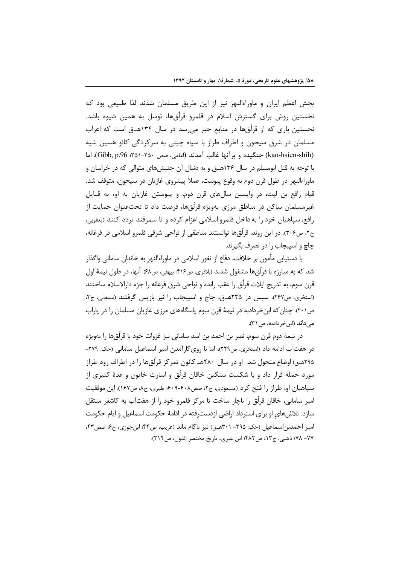بخش اعظم ایران و ماوراءالنهر نیز از این طریق مسلمان شدند لذا طبیعی بود که نخستین روش برای گسترش اسلام در قلمرو قرلُقها، توسل به همین شیوه باشد. نخستین باری که از قرلُقها در منابع خبر میرسد در سال ۱۳۴هـق است که اعراب مسلمان در شرق سیحون و اطراف طراز با سپاه چینی به سرکردگی کائو هسین شیه (kao-hsien-shih) جنگیده و بر آنها غالب آمدند (امامی، صص ٢٥٠-٢٥١، Gibb, p.96). اما با توجه به قتل ابومسلم در سال ۱۳۶هــق و به دنبال آن جنبشهای متوالی که در خراسان و ماوراءالنهر در طول قرن دوم به وقوع پیوست، عملاً پیشروی غازیان در سیحون، متوقف شد. قیام رافع بن لیث، در واپسین سالهای قرن دوم، و پیوستن غازیان به او، به قبایل غیرمسلمان ساکن در مناطق مرزی بهویژه قرلُقها، فرصت داد تا تحتعنوان حمایت از رافع، سياهيان خود را به داخل قلمرو اسلامي اعزام كرده و تا سمرقند تردد كنند (يعقوبي، ج٢، ص٣٠۶). در اين روند، قرِلُق ها توانستند مناطقي از نواحي شرقي قلمرو اسلامي در فرغانه، چاچ و اسپیجاب را در تصرف بگیرند.

با دستیابی مأمون بر خلافت، دفاع از ثغور اسلامی در ماوراءالنهر به خاندان سامانی واگذار شد که به مبارزه با قرلُق@ مشغول شدند (بلاذري، ص۴۱۶؛ بیهقي، ص۶۸). آنها، در طول نیمهٔ اول قرن سوم، به تدريج ايلات قرلُق را عقب رانده و نواحي شرق فرغانه را جزء دارالاسلام ساختند (استخرى، ص٢٤٧). سپس در ٢٢٥هـق، چاچ و اسپيجاب را نيز بازپس گرفتند (سمعاني، ج٣، ص٢٠١). چنان كه ابن خردادبه در نيمهٔ قرن سوم پاسگاههاي مرزى غازيان مسلمان را در پاراب مے داند (ابن خردادبه، ص ٣١).

در نيمهٔ دوم قرن سوم، نصر بن احمد بن اسد ساماني نيز غزوات خود با قرلُقها را بهويژه در هفتآب ادامه داد (استخرى، ص٢٢٩)، اما با روى كارآمدن امير اسماعيل ساماني (حک: ٢٧٩-۲۹۵هـق) اوضاع متحول شد. او در سال ۲۸۰هـ کانون تمرکز قرلّقها را در اطراف رود طراز مورد حمله قرار داد و با شکست سنگین خاقان قرلُق و اسارت خاتون و عدهٔ کثیری از سیاهیان او، طراز را فتح کرد (مسعودی، ج۲، صص۶۰۸-۶۰۹؛ طبری، ج۸، ص۱۶۷). این موفقیت امير ساماني، خاقان قرِلُق را ناچار ساخت تا مركز قلمرو خود را از هفتآب به كاشغر منتقل سازد. تلاش های او برای استرداد اراضی ازدسترفته در ادامهٔ حکومت اسماعیل و ایام حکومت امير احمدبن اسماعيل (حک: ٢٩۵- ٢٠١هـق) نيز ناکام ماند (عريب، ص۴۴؛ ابن جوزي، ج۶، صص۴۳، ٧٧- ٧٨؛ ذهبي، ج١٣، ص٤٨٢؛ ابن عبري، تاريخ مختصر الدول، ص٢١۴).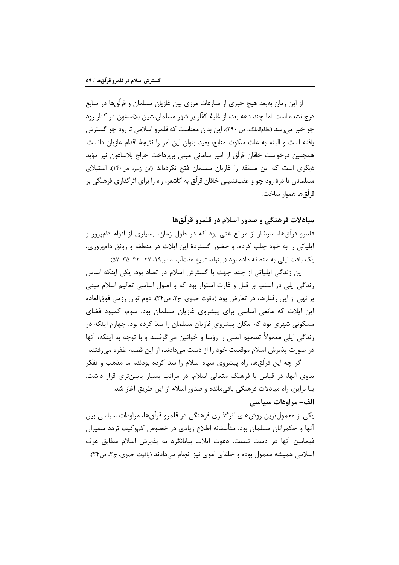از این زمان بهبعد هیچ خبری از منازعات مرزی بین غازیان مسلمان و قرلّقها در منابع درج نشده است. اما چند دهه بعد، از غلبهٔ کفّار بر شهر مسلمانِنشین بلاساغون در کنار رود چو خبر می رسد (نظامالملک، ص ۲۹۰)، این بدان معناست که قلمرو اسلامی تا رود چو گسترش يافته است و البته به علت سكوت منابع، بعيد بتوان اين امر را نتيجة اقدام غازيان دانست. همچنین درخواست خاقان قرلُق از امیر سامانی مبنی برپرداخت خراج بلاساغون نیز مؤید دیگری است که این منطقه را غازیان مسلمان فتح نکردهاند (ابن زبیر، ص۱۴۰). استیلای مسلمانان تا درهٔ رود چو و عقبنشینی خاقان قرلُق به کاشغر، راه را برای اثرگذاری فرهنگی بر قرلُق@ا هموار ساخت.

## مبادلات فرهنگي و صدور اسلام در قلمرو قرِلّق ها

قلمرو قرلُقها، سرشار از مراتع غنی بود که در طول زمان، بسیاری از اقوام دامپرور و اپلیاتی را به خود جلب کرده، و حضور گستردهٔ این ایلات در منطقه و رونق دامپروری، یک بافت ایلی به منطقه داده بود (بارتولد، تاریخ هفتآب، صص١٩، ٢٧- ٣٢، ٣۵، ٥٧).

این زندگی ایلیاتی از چند جهت با گسترش اسلام در تضاد بود: یکی اینکه اساس زندگی ایلی در استپ بر قتل و غارت استوار بود که با اصول اساسی تعالیم اسلام مبنی بر نهي از اين رفتارها، در تعارض بود (ياقوت حموي، ج٢، ص٢۴). دوم توان رزمي فوق|لعاده این ایلات که مانعی اساسی برای پیشروی غازیان مسلمان بود. سوم، کمبود فضای مسکونی شهری بود که امکان پیشروی غازیان مسلمان را سدّ کرده بود. چهارم اینکه در زندگی ایلی معمولاً تصمیم اصلی را رؤسا و خوانین میگرفتند و با توجه به اینکه، آنها در صورت پذیرش اسلام موقعیت خود را از دست میدادند، از این قضیه طفره میرفتند.

اگر چه این قرلُقها، راه پیشروی سیاه اسلام را سد کرده بودند، اما مذهب و تفکر بدوی آنها، در قیاس با فرهنگ متعالی اسلام، در مراتب بسیار پایینتری قرار داشت. بنا براین، راه مبادلات فرهنگی باقیمانده و صدور اسلام از این طریق آغاز شد. الف- مراودات سياسي

یکی از معمول ترین روشهای اثر گذاری فرهنگی در قلمرو قرلُقها، مراودات سیاسی بین آنها و حکمرانان مسلمان بود. متأسفانه اطلاع زیادی در خصوص کموکیف تردد سفیران فیمابین آنها در دست نیست. دعوت ایلات بیابانگرد به پذیرش اسلام مطابق عرف اسلامي هميشه معمول بوده و خلفاي اموي نيز انجام مي دادند (ياقوت حموي، ج٢، ص٢۴).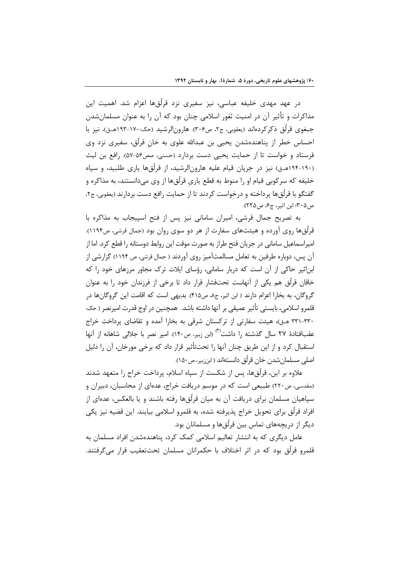در عهد مهدی خلیفه عباسی، نیز سفیری نزد قرلّقها اعزام شد. اهمیت این مذاکرات و تأثیر آن در امنیت ثغور اسلامی چنان بود که آن را به عنوان مسلمانشدن جبغوي قرِلُق ذكر كردهاند (يعقوبي، ج٢، ص٣٠۶). هارونالرشيد (حک:١٧٠-١٩٣هـق)، نيز با احساس خطر از پناهندهشدن یحیی بن عبدالله علوی به خان قرلُق، سفیری نزد وی فرستاد و خواست تا از حمایت یحیی دست بردارد (حسنی، صص۵۶-۵۷). رافع بن لیث (۱۹۰-۱۹۴هـق) نیز در جریان قیام علیه هارونالرشید، از قرلُقها پاری طلبید، و سپاه خلیفه که سرکوبی قیام او را منوط به قطع پاری قرلُقها از وی میدانستند، به مذاکره و گفتگو با قرلُقها پرداخته و درخواست کردند تا از حمایت رافع دست بردارند (بعقوبی، ج۲، ص ٣٠۵؛ ابن اثير، ج۶، ص٢٢٥).

به تصریح جمال قرشی، امیران سامانی نیز پس از فتح اسپیجاب به مذاکره با قرلُقها روی آورده و هیئتهای سفارت از هر دو سوی روان بود (جمال قرشی، ص۱۱۹۴). امپراسماعیل سامانی در جریان فتح طراز به صورت موقت این روابط دوستانه را قطع کرد. اما از آن پس، دوباره طرفین به تعامل مسالمتآمیز روی آوردند ( جمال قرشی، ص ۱۱۹۴) گزارشی از ابناثیر حاکی از آن است که دربار سامانی، رؤسای ایلات ترک مجاور مرزهای خود را که خاقان قرلُق هم یکی از آنهاست تحتفشار قرار داد تا برخی از فرزندان خود را به عنوان گروگان، به بخارا اعزام دارند ( ابن اثیر، ج۸، ص۴۱۵). بدیهی است که اقامت این گروگانها در قلم, و اسلامے ،، بایستے ، تأثیر عمیقے ، بر آنها داشته باشد. همچنین در اوج قدرت امیرنصر ( حک: ٣٣٠-٣٣١ هـ ق)، هيئت سفارتي از تركستان شرقي به بخارا آمده و تقاضاي يرداخت خراج عقبافتادهٔ ۲۷ سال گذشته را داشت<sup>(۳)</sup> (ابن زبیر، ص۱۴۰). امیر نصر با جلالی شاهانه از آنها استقبال کرد و از این طریق چنان آنها را تحتتأثیر قرار داد که برخی مورخان، آن را دلیل اصلي مسلمانشدن خان قرلُق دانستهاند ( ابنزبیر، ص١۵٠).

علاوه بر این، قرلُقها، پس از شکست از سیاه اسلام، پرداخت خراج را متعهد شدند (مقدسی، ص۲۲۰) طبیعی است که در موسم دریافت خراج، عدهای از محاسبان، دبیران و سپاهیان مسلمان برای دریافت آن به میان قرلُقها رفته باشند و یا بالعکس، عدهای از افراد قرلُق برای تحویل خراج پذیرفته شده، به قلمرو اسلامی بیایند. این قضیه نیز یکی دیگر از دریچههای تماس بین قرلُقها و مسلمانان بود.

عامل دیگری که به انتشار تعالیم اسلامی کمک کرد، پناهندهشدن افراد مسلمان به قلمرو قرلُق بود که در اثر اختلاف با حکمرانان مسلمان تحتتعقیب قرار می5رفتند.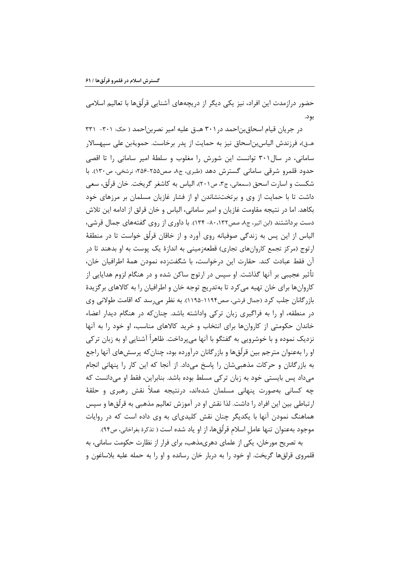حضور درازمدت این افراد، نیز یکی دیگر از دریچههای آشنایی قرلُقها با تعالیم اسلامی بود.

در جریان قیام اسحاق بن احمد در ۳۰۱ هـ ق علیه امیر نصربن احمد ( حک: ۳۰۱- ۳۳۱ هــق)، فرزندش الياسLبن|سحاق نيز به حمايت از پدر برخاست. حمويةبن على سپهسالار سامانی، در سال ۳۰۱ توانست این شورش را مغلوب و سلطهٔ امیر سامانی را تا اقصی حدود قلمرو شرقی سامانی گسترش دهد (طبری، ج۸، صص۲۵۵-۲۵۶؛ نرشخی، ص۱۳۰). با شکست و اسارت اسحق (سمعانی، ج۳، ص۲۰۱)، الیاس به کاشغر گریخت. خان قرلُق، سعی داشت تا با حمایت از وی و برتختنشاندن او از فشار غازیان مسلمان بر مرزهای خود بكاهد. اما در نتيجه مقاومت غازيان و امير ساماني، الياس و خان قرلق از ادامه اين تلاش دست برداشتند (ابن اثیر، ج٨، صص١٣٢، ٨٠- ١٣۴). با داوري از روي گفتههاي جمال قرشي، الیاس از این پس به زندگی صوفیانه روی آورد و از خاقان قرلّق خواست تا در منطقهٔ ارتوج (مرکز تجمع کاروانهای تجاری) قطعهزمینی به اندازهٔ یک پوست به او بدهند تا در آن فقط عبادت كند. حقارت اين درخواست، با شگفت;ده نمودن همهٔ اطرافيان خان، تأثیر عجیبی بر آنها گذاشت. او سپس در ارتوج ساکن شده و در هنگام لزوم هدایایی از كاروانها براي خان تهيه مي كرد تا بهتدريج توجه خان و اطرافيان را به كالاهاي برگزيدهٔ بازرگانان جلب کرد (جمال قرشی، صص۱۱۹۴–۱۱۹۵). به نظر می رسد که اقامت طولانی وی در منطقه، او را به فراگیری زبان ترکی واداشته باشد. چنان که در هنگام دیدار اعضاء خاندان حکومتی از کاروانها برای انتخاب و خرید کالاهای مناسب، او خود را به آنها نزدیک نموده و با خوشرویی به گفتگو با آنها میپرداخت. ظاهراً آشنایی او به زبان ترکی او را بهعنوان مترجم بین قرلُقها و بازرگانان درآورده بود، چنان که پرسشهای آنها راجع به بازرگانان و حرکات مذهبی شان را پاسخ می داد. از آنجا که این کار را پنهانی انجام می داد پس بایستی خود به زبان ترکی مسلط بوده باشد. بنابراین، فقط او می دانست که چه کسانی بهصورت پنهانی مسلمان شدهاند، درنتیجه عملاً نقش رهبری و حلقهٔ ارتباطی بین این افراد را داشت. لذا نقش او در آموزش تعالیم مذهبی به قرلّقها و سپس هماهنگ نمودن آنها با یکدیگر چنان نقش کلیدیای به وی داده است که در روایات موجود بهعنوان تنها عامل اسلام قرلُقها، از او ياد شده است ( تذكرهٔ بغراخاني، ص٩۴).

به تصریح مورخان، یکی از علمای دهریمذهب، برای فرار از نظارت حکومت سامانی، به قلمروی قرلقها گریخت. او خود را به دربار خان رسانده و او را به حمله علیه بلاساغون و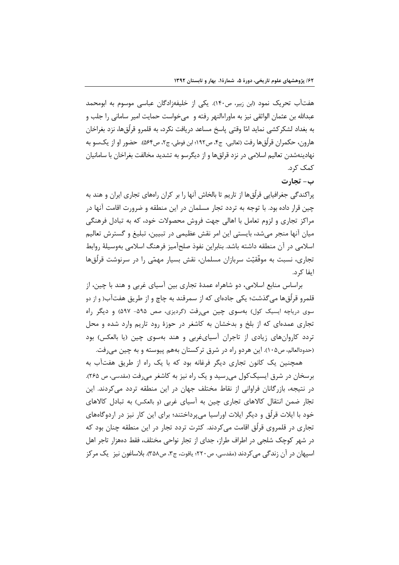هفتاًب تحریک نمود (ابن زبیر، ص۱۴۰). یکی از خلیفهزادگان عباسی موسوم به ابومحمد عبدالله بن عثمان الواثقي نيز به ماوراءالنهر رفته و مي خواست حمايت امير ساماني را جلب و به بغداد لشکر کشی نماید امّا وقتی پاسخ مساعد دریافت نکرد، به قلمرو قرلُق@ا، نزد بغراخان هارون، حكمران قرلُق@ا رفت (ثعالبي، ج۴، ص١٩٢؛ ابن فوطي، ج٢، ص٥۶۴). حضور او از يكسو به نهادینهشدن تعالیم اسلامی در نزد قرلقها و از دیگرسو به تشدید مخالفت بغراخان با سامانیان کمک کړد.

ب- تجار ت

پراکندگی جغرافیایی قرلُق ها از تاریم تا بالخاش آنها را بر کران رامهای تجاری ایران و هند به چین قرار داده بود. با توجه به تردد تجار مسلمان در این منطقه و ضرورت اقامت آنها در مراکز تجاری و لزوم تعامل با اهالی جهت فروش محصولات خود، که به تبادل فرهنگی میان آنها منجر می شد، بایستی این امر نقش عظیمی در تبیین، تبلیغ و گسترش تعالیم اسلامی در آن منطقه داشته باشد. بنابراین نفوذ صلحآمیز فرهنگ اسلامی بهوسیلهٔ روابط تجاری، نسبت به موفَّقیّت سربازان مسلمان، نقش بسیار مهمّی را در سرنوشت قرلُقها ابفا کړ د.

براساس منابع اسلامی، دو شاهراه عمدهٔ تجاری بین آسیای غربی و هند با چین، از قلمرو قرلُق@ا مي گذشت؛ يكي جادهاي كه از سمرقند به چاچ و از طريق هفتآب( و از دو سوی دریاچه ایسیک کول) بهسوی چین می رفت (گردیزی، صص ۵۹۵- ۵۹۷) و دیگر راه تجاری عمدهای که از بلخ و بدخشان به کاشغر در حوزهٔ رود تاریم وارد شده و محل تردد کاروانهای زیادی از تاجران آسیای غربی و هند بهسوی چین (یا بالعکس) بود (حدودالعالم، ص١٠۵). این هردو راه در شرق ترکستان بههم پیوسته و به چین میرفت.

همچنین یک کانون تجاری دیگر فرغانه بود که با یک راه از طریق هفتآب به برسخان در شرق ایسیککول می رسید و یک راه نیز به کاشغر می رفت (مقدسی، ص ۲۶۵). در نتیجه، بازرگانان فراوانی از نقاط مختلف جهان در این منطقه تردد می کردند. این تجّار ضمن انتقال کالاهای تجاری چین به آسیای غربی (و بالعکس) به تبادل کالاهای خود با ایلات قرلُق و دیگر ایلات اوراسیا می پرداختند؛ برای این کار نیز در اردوگاههای تجاری در قلمروی قرلُق اقامت میکردند. کثرت تردد تجار در این منطقه چنان بود که در شهر کوچک شلجی در اطراف طراز، جدای از تجار نواحی مختلف، فقط دمهزار تاجر اهل اسيهان در آن زندگي مي كردند (مقدسي، ص٢٢٠؛ ياقوت، ج٣، ص٣۵٨). بلاساغون نيز \_يک مركز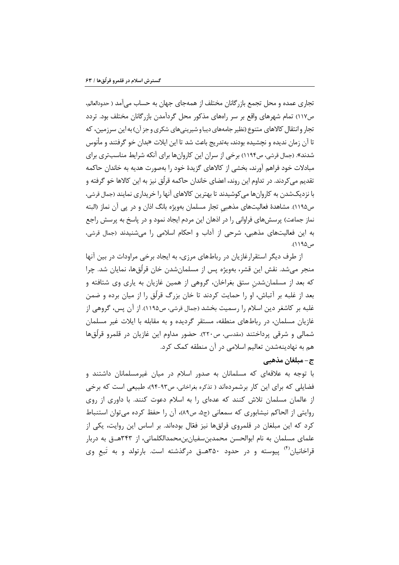تجاری عمده و محل تجمع بازرگانان مختلف از همهجای جهان به حساب میآمد ( حدودالعالم، ص١١٧) تمام شهرهاي واقع بر سر راههاي مذكور محل گردآمدن بازرگانان مختلف بود. تردد تجار و انتقال کالاهای متنوع (نظیر جامههای دیبا و شیرینی های شکری و جز آن) به این سرزمین، که تا آن زمان ندیده و نچشیده بودند، بهتدریج باعث شد تا این ایلات «بدان خو گرفتند و مأنوس شدند». (جمال قرشی، ص۱۱۹۴) برخی از سران این کاروانها برای آنکه شرایط مناسبتری برای مبادلات خود فراهم آورند، بخشي از كالاهاي گزيدهٔ خود را بهصورت هديه به خاندان حاكمه تقديم مي¢ردند. در تداوم اين روند، اعضاي خاندان حاكمه قرلُق نيز به اين كالاها خو گرفته و با نزديکشدن به کاروانها می کوشيدند تا بهترين کالاهای آنها را خريداری نمايند (جمال قرشی، ص١١٩۵). مشاهدهٔ فعالیتهای مذهبی تجار مسلمان بهویژه بانگ اذان و در پی آن نماز (البته نماز جماعت) پرسشهای فراوانی را در اذهان این مردم ایجاد نمود و در پاسخ به پرسش راجع به این فعالیتهای مذهبی، شرحی از آداب و احکام اسلامی را میشنیدند (جمال قرشی، ص ۱۹۵ ۱).

از طرف دیگر استقرارغازیان در رباطهای مرزی، به ایجاد برخی مراودات در بین آنها منجر میشد. نقش این قشر، بهویژه پس از مسلمانشدن خان قرلّقها، نمایان شد. چرا که بعد از مسلمانشدن ستق بغراخان، گروهی از همین غازیان به پاری وی شتافته و بعد از غلبه بر آتباش، او را حمایت کردند تا خان بزرگ قرلُق را از میان برده و ضمن غلبه بر كاشغر دين اسلام را رسميت بخشد (جمال قرشي، ص١١٩۵). از آن پس، گروهي از غازیان مسلمان، در رباطهای منطقه، مستقر گردیده و به مقابله با ایلات غیر مسلمان شمالي و شرقي پرداختند (مقدسي، ص٢٢٠). حضور مداوم اين غازيان در قلمرو قرلُقِها هم به نهادینهشدن تعالیم اسلامی در آن منطقه کمک کرد.

#### ج–مبلغان مذهبي

با توجه به علاقهای که مسلمانان به صدور اسلام در میان غیرمسلمانان داشتند و فضایلی که برای این کار برشمردهاند ( تذکره بغراخانی، ص۹۳-۹۴)، طبیعی است که برخی از عالمان مسلمان تلاش کنند که عدهای را به اسلام دعوت کنند. با داوری از روی روايتي از الحاكم نيشابوري كه سمعاني (ج۵، ص۸۹)، آن را حفظ كرده مي توان استنباط کرد که این مبلغان در قلمروی قرلقها نیز فعّال بودهاند. بر اساس این روایت، یکی از علمای مسلمان به نام ابوالحسن محمدبنسفیانبنمحمدالکلماتی، از ۳۴۳هـق به دربار قراخانیان<sup>(۲)</sup> پیوسته و در حدود ۳۵۰هـق درگذشته است. بارتولد و به تَبع وی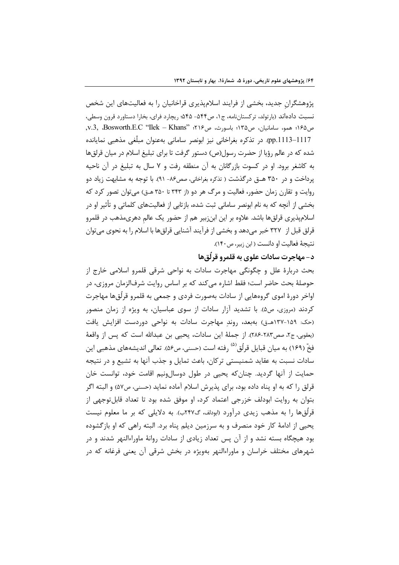پژوهشگران جدید، بخشی از فرایند اسلامپذیری قراخانیان را به فعالیتهای این شخص نسبت دادهاند (بارتولد، ترکستانِنامه، ج۱، ص۵۴۴- ۵۴۵؛ ریچارد فرای، بخارا دستاورد قرون وسطی، ص ١۶۵؛ همو، سامانيان، ص١٣۵؛ باسورث، ص١٢٤؛ "v.3, Bosworth.E.C "Ilek - Khans, pp.1113–1117). در تذکره بغراخانی نیز ابونصر سامانی بهعنوان مبلّغی مذهبی نمایانده شده که در عالم رؤیا از حضرت رسول(ص) دستور گرفت تا برای تبلیغ اسلام در میان قرلقها به کاشغر برود. او در کسوت بازرگانان به آن منطقه رفت و ۷ سال به تبلیغ در آن ناحیه پرداخت و در ۳۵۰ هــق درگذشت ( تذکره بغراخانی، صص۸۶- ۹۱). با توجه به مشابهت زیاد دو روایت و تقارن زمان حضور، فعالیت و مرگ هر دو (از ۳۴۳ تا ۳۵۰ هـق) میتوان تصور کرد که بخشی از آنچه که به نام ابونصر سامانی ثبت شده، بازتابی از فعالیتهای کلماتی و تأثیر او در اسلامپذیری قرلقها باشد. علاوه بر این ابن;بیر هم از حضور یک عالم دهریمذهب در قلمرو قرلق قبل از ۳۲۷ خبر می۵هد و بخشی از فرآیند آشنایی قرلقها با اسلام را به نحوی می توان نتيجهٔ فعاليت او دانست ( ابن زبير، ص١۴٠).

### د- مهاجرت سادات علوي به قلمرو قرلّقها

بحث دربارهٔ علل و چگونگی مهاجرت سادات به نواحی شرقی قلمرو اسلامی خارج از حوصلهٔ بحث حاضر است؛ فقط اشاره میکند که بر اساس روایت شرفالزمان مروزی، در اواخر دورهٔ اموی گروههایی از سادات بهصورت فردی و جمعی به قلمرو قرلّقها مهاجرت کردند (مروزی، ص۵). با تشدید آزار سادات از سوی عباسیان، به ویژه از زمان منصور (حک: ۱۵۹-۱۳۷هـق) بهبعد، روند مهاجرت سادات به نواحی دوردست افزایش یافت (يعقوبي، ج٢، صص٢٨٣-٢٨۶). از جملهٔ اين سادات، يحيى بن عبدالله است كه پس از واقعهٔ فخّ (۱۶۹) به میان قبایل قرلُق<sup>(۵)</sup> رفته است (حسنی، ص۵۶). تعالی اندیشههای مذهبی این سادات نسبت به عقاید شمنیستی ترکان، باعث تمایل و جذب آنها به تشیع و در نتیجه حمايت از آنها گرديد. چنان كه يحيى در طول دوسالونيم اقامت خود، توانست خان قرلق را كه به او پناه داده بود، براي پذيرش اسلام آماده نمايد (حسني، ص۵۷) و البته اگر بتوان به روایت ابودلف خزرجی اعتماد کرد، او موفق شده بود تا تعداد قابلتوجهی از قرلُقها را به مذهب زیدی درآورد (ابودلف، گ۲۴۷ب). به دلایلی که بر ما معلوم نیست یحیی از ادامهٔ کار خود منصرف و به سرزمین دیلم پناه برد. البته راهی که او بازگشوده بود هیچگاه بسته نشد و از آن پس تعداد زیادی از سادات روانهٔ ماوراءالنهر شدند و در شهرهای مختلف خراسان و ماوراءالنهر بهویژه در بخش شرقی آن یعنی فرغانه که در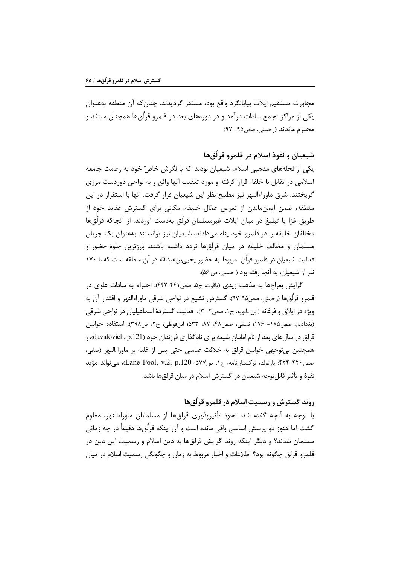مجاورت مستقیم ایلات بیابانگرد واقع بود، مستقر گردیدند. چنان که آن منطقه بهعنوان یکی از مراکز تجمع سادات درآمد و در دورههای بعد در قلمرو قرلُقها همچنان متنفذ و محترم ماندند (رحمتی، صص۱۵– ۹۷)

## شيعيان و نفوذ اسلام در قلمرو قرلُق ها

یکی از نحلههای مذهبی اسلام، شیعیان بودند که با نگرش خاصّ خود به زعامت جامعه اسلامي در تقابل با خلفاء قرار گرفته و مورد تعقيب آنها واقع و به نواحي دوردست مرزي گريختند. شرق ماوراءالنهر نيز مطمح نظر اين شيعيان قرار گرفت. آنها با استقرار در اين منطقه، ضمن ایمنماندن از تعرض عمّال خلیفه، مکانی برای گسترش عقاید خود از طريق غزا يا تبليغ در ميان ايلات غيرمسلمان قرلُق بهدست آوردند. از آنجاكه قرلُقها مخالفان خليفه را در قلمرو خود پناه مىدادند، شيعيان نيز توانستند بهعنوان يک جريان مسلمان و مخالف خلیفه در میان قرلُق&ا تردد داشته باشند. بارزترین جلوه حضور و فعالیت شیعیان در قلمرو قرلُق ٍ مربوط به حضور یحیی بنعبدالله در آن منطقه است که با ۱۷۰ نفر از شیعیان، به آنجا رفته بود ( حسنی، ص ۵۶).

گرایش بغراجها به مذهب زیدی (یاقوت، ج۵، صص۴۴۱-۴۴۲)، احترام به سادات علوی در قلمرو قرِلُق&ا (رحمتي، صص٩٥-٩٧)، گسترش تشيع در نواحي شرقي ماوراءالنهر و اقتدار آن به ویژه در ایلاق و فرغانه (ابن بابویه، ج۱، صص۲– ۳)، فعالیت گستردهٔ اسماعیلیان در نواحی شرقی (بغدادی، صص١٧۵ - ١٧۶؛ نسفي، صص۴۸، ۸۷، ۵۳۳؛ ابنفوطي، ج۲، ص٣٩٨)، استفاده خوانين قرلق در سالهای بعد از نام امامان شیعه برای نامگذاری فرزندان خود (davidovich, p.121)، و همچنین بیتوجهی خوانین قرلق به خلافت عباسی حتی پس از غلبه بر ماوراءالنهر (صابی، صص٢٢٠-۴٢۴؛ بارتولد، تركستان نامه، ج١، ص٧٧%؛ Lane Pool, v.2, p.120)، مي تواند مؤيد نفوذ و تأثير قابل توجه شيعيان در گسترش اسلام در ميان قرلق ها باشد.

## روند گسترش و رسمیت اسلام در قلمرو قرلُق ها

با توجه به آنچه گفته شد، نحوهٔ تأثیرپذیری قرلقها از مسلمانان ماوراءالنهر، معلوم گشت اما هنوز دو پرسش اساسی باقی مانده است و آن اینکه قرلُقها دقیقاً در چه زمانی مسلمان شدند؟ و دیگر اینکه روند گرایش قرلقها به دین اسلام و رسمیت این دین در قلمرو قرلق چگونه بود؟ اطلاعات و اخبار مربوط به زمان و چگونگی رسمیت اسلام در میان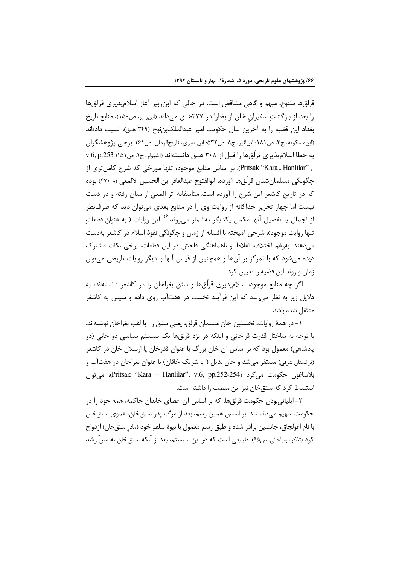قرلقها متنوع، مبهم و گاهي متناقض است. در حالي كه ابنزبير آغاز اسلامپذيري قرلقها را بعد از بازگشتِ سفیران خان از بخارا در ۳۲۷هــق میداند (ابنزبیر، ص۱۵۰)، منابع تاریخ بغداد اين قضيه را به آخرين سال حكومت امير عبدالملكبننوح (٣۴٩ هـق)، نسبت دادهاند (ابن مسکویه، ج۳، ص ۱۸۱؛ ابناثیر، ج۸، ص۳۲۵؛ ابن عبری، تاریخالزمان، ص ۶۱). برخی پژوهشگران به خطا اسلام ندیری قرلُق ها را قبل از ۳۰۸ هـ ق دانستهاند (اشپولر، ج۱، ص۱۵۱؛ v.6, p.253 , "Pritsak "Kara \_ Hanlilar"). بر اساس منابع موجود، تنها مورخی که شرح کامل تری از چگونگي مسلمانِشدن قرلُق@ا آورده، ابوالفتوح عبدالغافر بن الحسين الالمعي (م ۴۷۰) بوده که در تاریخ کاشغر این شرح را آورده است.متأسفانه اثر المعی از میان رفته و در دست نیست اما چهار تحریر جداگانه از روایت وی را در منابع بعدی می توان دید که صرفنظر از اجمال یا تفصیل آنها مکمل یکدیگر بهشمار می وند<sup>(6)</sup>. این روایات ( به عنوان قطعات تنها روايت موجود)، شرحي آميخته با افسانه از زمان و چگونگي نفوذ اسلام در كاشغر بهدست مے دهند. بهرغم اختلاف، اغلاط و ناهماهنگی فاحش در این قطعات، برخی نکات مشترک دیده میشود که با تمرکز بر آنها و همچنین از قیاس آنها با دیگر روایات تاریخی میتوان زمان و روند این قضیه را تعیین کرد.

اگر چه منابع موجود، اسلامیذیری قرِلُقها و ستق بغراخان را در کاشغر دانستهاند، به دلایل زیر به نظر می<sub>ان</sub>سد که این فرآیند نخست در هفتآب روی داده و سپس به کاشغر منتقل شده باشد:

١- در همهٔ روایات، نخستین خان مسلمان قرلق، یعنی ستق را با لقب بغراخان نوشتهاند. با توجه به ساختار قدرت قراخانی و اینکه در نزد قرلقها یک سیستم سیاسی دو خانی (دو پادشاهی) معمول بود که بر اساس آن خان بزرگ با عنوان قدرخان یا ارسلان خان در کاشغر (ترکستان شرقی) مستقر میشد و خان بدیل ( یا شریک خاقان) با عنوان بغراخان در هفتآب و بلاساغون حكومت ميكرد (Pritsak "Kara – Hanlilar", v.6, pp.252-254، ميتوان استنباط کرد که ستق خان نیز این منصب را داشته است.

۲- ایلیاتی،بودن حکومت قرلقها، که بر اساس آن اعضای خاندان حاکمه، همه خود را در حکومت سهیم میدانستند. بر اساس همین رسم، بعد از مرگ پدر ستق خان، عموی ستق خان با نام اغولجاق، جانشین برادر شده و طبق رسم معمول با بیوهٔ سلف خود (مادر ستق خان) ازدواج کرد (تذکره بغراخانی، ص۹۵). طبیعی است که در این سیستم، بعد از آنکه ستق خان به سنّ رشد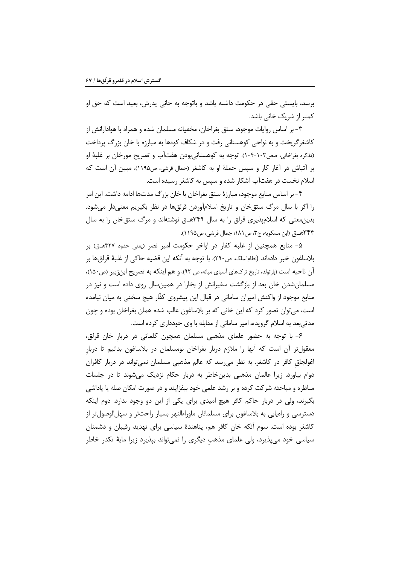برسد، بايستي حقي در حكومت داشته باشد و باتوجه به خاني پدرش، بعيد است كه حق او کمتر از شریک خانی باشد.

۳- بر اساس روایات موجود، ستق بغراخان، مخفیانه مسلمان شده و همراه با هوادارانش از کاشغر گریخت و به نواحی کوهستانی رفت و در شکاف کوهها به مبارزه با خان بزرگ پرداخت (تذکره بغراخانی، صص۱۰۳-۱۰۴). توجه به کوهستانی،بودن هفتآب و تصریح مورخان بر غلبهٔ او بر آتباش در آغاز کار و سپس حملهٔ او به کاشغر (جمال قرشی، ص۱۱۹۵)، مبین آن است که اسلام نخست در هفتآب آشکار شده و سپس به کاشغر رسیده است.

۴- بر اساس منابع موجود، مبارزهٔ ستق بغراخان با خان بزرگ مدتها ادامه داشت. این امر را اگر با سال مرگ ستق خان و تاریخ اسلامآوردن قرلقها در نظر بگیریم معنیدار میشود. بدینمعنی که اسلامپذیری قرلق را به سال ۳۴۹هـق نوشتهاند و مرگ ستق خان را به سال ۳۴۴هــق (ابن مسكويه، ج۳، ص ۱۸۱؛ جمال قرشي، ص ۱۱۹۵).

۵– منابع همچنین از غلبه کفار در اواخر حکومت امیر نصر (یعنی حدود ۳۲۷هــق) بر بلاساغون خبر دادهاند (نظام|لملک، ص٢٩٠). با توجه به آنکه این قضیه حاکی از غلبهٔ قرلقها بر آن ناحیه است (بارتولد، تاریخ ترکـهای آسیای میانه، ص ۹۲)، و هم اینکه به تصریح ابنِزبیر (ص١۵٠)، مسلمان شدن خان بعد از بازگشت سفیرانش از بخارا در همینسال روی داده است و نیز در منابع موجود از واکنش امیران سامانی در قبال این پیشروی کفّار هیچ سخنی به میان نیامده است، مي توان تصور كرد كه اين خاني كه بر بلاساغون غالب شده همان بغراخان بوده و چون مدتی بعد به اسلام گرویده، امیر سامانی از مقابله با وی خودداری کرده است.

۶- با توجه به حضور علمای مذهبی مسلمان همچون کلماتی در دربار خان قرلق، معقول تر آن است که آنها را ملازم دربار بغراخان نومسلمان در بلاساغون بدانیم تا دربار اغولجاق کافر در کاشغر. به نظر م<sub>عا</sub>رسد که عالم مذهبی مسلمان نمی¤واند در دربار کافران دوام بیاورد. زیرا عالمان مذهبی بدینخاطر به دربار حکام نزدیک میشوند تا در جلسات مناظره و مباحثه شرکت کرده و بر رشد علمی خود بیفزایند و در صورت امکان صله یا پاداشی بگیرند، ولی در دربار حاکم کافر هیچ امیدی برای یکی از این دو وجود ندارد. دوم اینکه دسترسی و راهیابی به بلاساغون برای مسلمانان ماوراءالنهر بسیار راحتتر و سهلالوصولتر از کاشغر بوده است. سوم آنکه خان کافر هم، پناهندهٔ سیاسی برای تهدید رقیبان و دشمنان سیاسی خود میپذیرد، ولی علمای مذهب دیگری را نمیتواند بپذیرد زیرا مایهٔ تکدر خاطر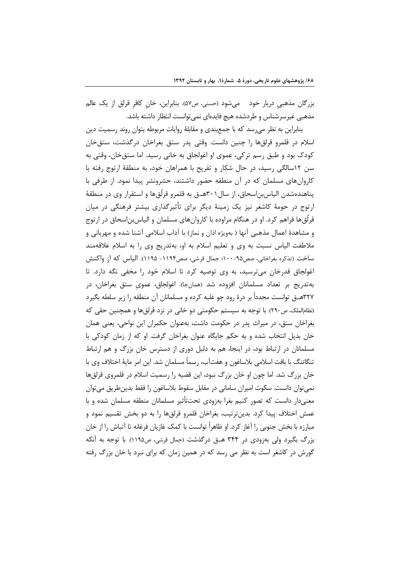بزرگان مذهبي دربار خود ميشود (حسني، ص۵۷). بنابراين، خان كافر قرلق از يک عالم مذهبی غیرسرشناس و طردشده هیچ فایدهای نمیتوانست انتظار داشته باشد.

بنابراین به نظر میرسد که با جمعبندی و مقابلهٔ روایات مربوطه بتوان روند رسمیت دین اسلام در قلمرو قرلقها را چنین دانست: وقتی پدر ستق بغراخان درگذشت، ستق خان کودک بود و طبق رسم ترکی، عموی او اغولجاق به خانی رسید. اما ستق خان، وقتی به سن ١٢سالگی رسيد، در حال شكار و تفريح با همراهان خود، به منطقهٔ ارتوج رفته با کاروانهای مسلمان که در آن منطقه حضور داشتند، حشرونشر پیدا نمود. از طرفی با یناهندهشدن الیاس بن اسحاق، از سال۲۰۱هــق به قلمرو قرلّقها و استقرار وی در منطقهٔ ارتوج در حومهٔ کاشغر نیز یک زمینهٔ دیگر برای تأثیرگذاری بیشتر فرهنگی در میان قرلُقها فراهم کرد. او در هنگام مراوده با کاروانهای مسلمان و الیاس بناسحاق در ارتوج و مشاهدهٔ اعمال مذهبی آنها ( بهویژه اذان و نماز) با آداب اسلامی آشنا شده و مهربانی و ملاطفت الیاس نسبت به وی و تعلیم اسلام به او، بهتدریج وی را به اسلام علاقهمند ساخت (تذكره بغراخاني، صص٩٥-١٠٠؛ جمال قرشي، صص١١٩۴- ١١٩۵). الياس كه از واكنش اغولجاق قدرخان میترسید، به وی توصیه کرد تا اسلام خود را مخفی نگه دارد. تا بەتدریج بر تعداد مسلمانان افزودە شد (همانجا). اغولجاق، عموی ستق بغراخان، در ٣٢٧هــق توانست مجدداً بر درهٔ رود چو غلبه کرده و مسلمانان آن منطقه را زير سلطه بگيرد (نظام|لملک، ص٢٩٠). با توجه به سیستم حکومتی دو خانی در نزد قرلقها و همچنین حقی که بغراخان ستق، در میراث پدر در حکومت داشت، بهعنوان حکمران این نواحی، یعنی همان خان بدیل انتخاب شده و به حکم جایگاه عنوان بغراخان گرفت. او که از زمان کودکی با مسلمانان در ارتباط بود، در اینجا، هم به دلیل دوری از دسترس خان بزرگ و هم ارتباط تنگاتنگ با بافت اسلامی بلاساغون و هفتآب، رسماً مسلمان شد. این امر مایهٔ اختلاف وی با خان بزرگ شد. اما چون او خان بزرگ نبود، این قضیه را رسمیت اسلام در قلمروی قرلقها نمي توان دانست. سكوت اميران ساماني در مقابل سقوط بلاساغون را فقط بدين طريق مي توان معنیدار دانست که تصور کنیم بغرا بهزودی تحت $\vec{b}$ ثیر مسلمانان منطقه مسلمان شده و با عمش اختلاف پیدا کرد. بدینترتیب، بغراخان قلمرو قرلقها را به دو بخش تقسیم نمود و مبارزه با بخش جنوبی را آغاز کرد. او ظاهراً توانست با کمک غازیان فرغانه تا آتباش را از خان بزرگ بگیرد ولی بهزودی در ۳۴۴ هـق درگذشت (جمال قرشی، ص۱۱۹۵). با توجه به آنکه گورش در کاشغر است به نظر می رسد که در همین زمان که برای نبرد با خان بزرگ رفته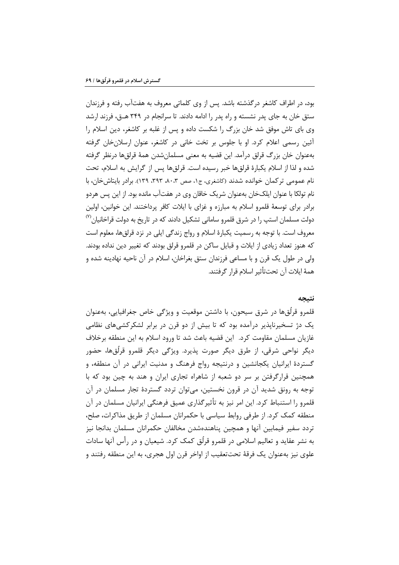بود، در اطراف کاشغر درگذشته باشد. پس از وی کلماتی معروف به هفتآب رفته و فرزندان ستق خان به جای پدر نشسته و راه پدر را ادامه دادند. تا سرانجام در ۳۴۹ هــق، فرزند ارشد وی بای تاش موفق شد خان بزرگ را شکست داده و پس از غلبه بر کاشغر، دین اسلام را آئین رسمی اعلام کرد. او با جلوس بر تخت خانی در کاشغر، عنوان ارسلان خان گرفته بهعنوان خان بزرگ قرلق درآمد. این قضیه به معنی مسلمانشدن همهٔ قرلقها درنظر گرفته شده و لذا از اسلام يكبارهٔ قرلقها خبر رسيده است. قرلقها پس از گرايش به اسلام، تحت نام عمومی تر کمان خوانده شدند (کاشغری، ج۱، صص ۰۰،۳ ۳۹۳، ۱۳۹.). برادر بایتاش خان، با نام تولکا با عنوان ایلکخان بهعنوان شریک خاقان وی در هفتآب مانده بود. از این پس هردو برادر برای توسعهٔ قلمرو اسلام به مبارزه و غزای با ایلات کافر پرداختند. این خوانین، اولین دولت مسلمان استپ را در شرق قلمرو سامانی تشکیل دادند که در تاریخ به دولت قراخانیان<sup>09</sup> معروف است. با توجه به رسمیت یکبارهٔ اسلام و رواج زندگی ایلی در نزد قرلق ها، معلوم است که هنوز تعداد زیادی از ایلات و قبایل ساکن در قلمرو قرلق بودند که تغییر دین نداده بودند. ولی در طول یک قرن و با مساعی فرزندان ستق بغراخان، اسلام در آن ناحیه نهادینه شده و همهٔ ایلات آن تحتتأثیر اسلام قرار گرفتند.

#### نتىجە

قلمرو قرلُقها در شرق سیحون، با داشتن موقعیت و ویژگی خاص جغرافیایی، بهعنوان یک دژ تسخیرناپذیر درآمده بود که تا بیش از دو قرن در برابر لشکرکشیهای نظامی غازیان مسلمان مقاومت کرد. این قضیه باعث شد تا ورود اسلام به این منطقه برخلاف ديگر نواحي شرقي، از طرق ديگر صورت پذيرد. ويژگي ديگر قلمرو قرلُقها، حضور گستردهٔ ایرانیان یکجانشین و درنتیجه رواج فرهنگ و مدنیت ایرانی در آن منطقه، و همچنین قرارگرفتن بر سر دو شعبه از شاهراه تجاری ایران و هند به چین بود که با توجه به رونق شدید آن در قرون نخستین، می توان تردد گستردهٔ تجار مسلمان در آن قلمرو را استنباط کرد. این امر نیز به تأثیرگذاری عمیق فرهنگی ایرانیان مسلمان در آن منطقه کمک کرد. از طرفی روابط سیاسی با حکمرانان مسلمان از طریق مذاکرات، صلح، تردد سفير فيمابين آنها و همچين پناهندهشدن مخالفان حكمرانان مسلمان بدانجا نيز به نشر عقاید و تعالیم اسلامی در قلمرو قرلُق کمک کرد. شیعیان و در رأس آنها سادات علوی نیز بهعنوان یک فرقهٔ تحتتعقیب از اواخر قرن اول هجری، به این منطقه رفتند و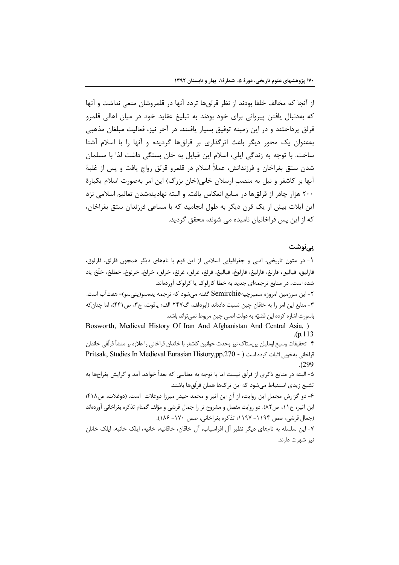از آنجا که مخالف خلفا بودند از نظر قرلقها تردد آنها در قلمروشان منعی نداشت و آنها که بهدنبال یافتن پیروانی برای خود بودند به تبلیغ عقاید خود در میان اهالی قلمرو قرلق پرداختند و در این زمینه توفیق بسیار یافتند. در آخر نیز، فعالیت مبلغان مذهبی بهعنوان یک محور دیگر باعث اثرگذاری بر قرلقها گردیده و آنها را با اسلام آشنا ساخت. با توجه به زندگی ایلی، اسلام این قبایل به خان بستگی داشت لذا با مسلمان شدن ستق بغراخان و فرزندانش، عملاً اسلام در قلمرو قرلق رواج یافت و پس از غلبهٔ آنها بر کاشغر و نیل به منصب ارسلان خانی(خان بزرگ) این امر بهصورت اسلام یکبارهٔ ۲۰۰ هزار چادر از قرلقها در منابع انعکاس یافت. و البته نهادینهشدن تعالیم اسلامی نزد این ایلات بیش از یک قرن دیگر به طول انجامید که با مساعی فرزندان ستق بغراخان، که از این پس قراخانیان نامیده می شوند، محقق گردید.

#### یے نوشت

١- در متون تاريخي، ادبي و جغرافيايي اسلامي از اين قوم با نامهاي ديگر همچون قارلق، قارلوق، قارليق، قياليق، قارلغ، قارليغ، قارلوغ، قياليغ، قرلغ، غرلق، غرلغ، خرلق، خرلخ، خرلوخ، خطلخ، خلَّخ ياد شده است. در منابع ترجمهای جدید به خطا کارلوک یا کرلوک آوردهاند.

۲- این سرزمین امروزه سمیرچیهSemirchie گفته میشود که ترجمه یدهسو(یتیسو)= هفتآب است. ٣- منابع اين امر را به خاقان چين نسبت دادهاند (ابودلف، گ٢۴٧ الف؛ ياقوت، ج٣، ص٤۴١)، اما چنان كه باسورث اشاره كرده اين قضيّه به دولت اصلي چين مربوط نمي تواند باشد.

Bosworth, Medieval History Of Iran And Afghanistan And Central Asia, )  $(p.113)$ 

۴– تحقیقات وسیع اوملیان پریستاک نیز وحدت خوانین کاشغر با خاندان قراخانی را علاوه بر منشأ قرلُقی خاندان قراخاني بهخوبي اثبات كرده است ( - Pritsak, Studies In Medieval Eurasian History,pp.270 واخاني بهخوبي اثبات كرده است  $. (299$ 

۵- البته در منابع ذکری از قرلُق نیست اما با توجه به مطالبی که بعداً خواهد آمد و گرایش بغراجها به تشیع زیدی استنباط میشود که این ترک&ا همان قرلُقها باشند.

۶- دو گزارش مجمل این روایت، از آن ابن اثیر و محمد حیدر میرزا دوغلات است. (دوغلات، ص۴۱۸؛ ابن اثیر، ج۱۱، ص۸۲). دو روایت مفصل و مشروح تر را جمال قرشی و مؤلف گمنام تذکره بغراخانی آوردهاند (جمال قرشي، صص ١١٩۴- ١١٩٧؛ تذكره بغراخاني، صص ١٧٠- ١٨۶).

٧- این سلسله به نامهای دیگر نظیر آل افراسیاب، آل خاقان، خاقانیه، خانیه، ایلک خانیه، ایلک خانان نیز شهرت دارند.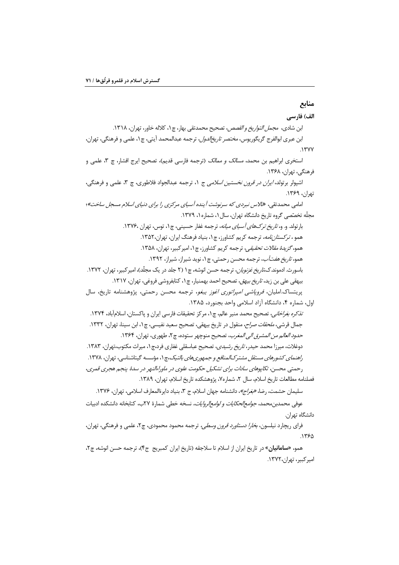# منابع

الف) فارسي ابن شادى، مج*مل التواريخ و القصص*، تصحيح محمدتقى بهار، چ1، كلاله خاور، تهران، ١٣١٨. ابن عبري ابوالفرج گريگوريوس، *مختصر تاريخ|لدول*، ترجمه عبدالمحمد آيتي، چ۱، علمي و فرهنگي، تهران،  $.1$ ۳۷۷ استخرى ابراهيم بن محمد، *مسالک و ممالک* (ترجمه فارسي قديم)، تصحيح ايرج افشار، چ ۳، علمي و فرهنگی، تهران، ۱۳۶۸. اشپولر برتولد، *ایران در قرون نخستین اسلامی* ج ۱، ترجمه عبدالجواد فلاطوری، چ ۳، علمی و فرهنگی، تهران، ۱۳۶۹. امامی محمدتقی، «تالاس نبردی که سرنوشت آینده آسیای مرکزی را برای دنیای اسلام مسجل ساخت»؛ مجلّه تخصّصی گروه تاریخ دانشگاه تهران، سال ۱، شماره۱، ۱۳۷۹. بارتولد. و. و، *تاريخ تركهاي آسياي ميانه*، ترجمه غفار حسيني، چ1، توس، تهران ١٣٧۶. همو *، ترکستاننامه،* ترجمه کریم کشاورز، چ۱، بنیاد فرهنگ ایران، تهران،۱۳۵۲. همو، *گزیدهٔ مقالات تحقیقی،* ترجمه کریم کشاورز، چ۱، امیرکبیر، تهران، ۱۳۵۸. همو، *تاريخ هفتآب*، ترجمه محسن رحمتي، چ۱، نويد شيراز، شيراز، ۱۳۹۲. باسورث. ادموند.ک*.تاریخ غزنویان*، ترجمه حسن انوشه، چ۱ (۲ جلد در یک مجلّد)، امیر کبیر، تهران، ۱۳۷۲. بیهقی علی بن زید، *تاریخ بیهق*، تصحیح احمد بهمنیار، چ ۱، کتابفروشی فروغی، تهران، ۱۳۱۷. پریتساک املیان، *فروپاشی امپراتوری اغوز یبغو*، ترجمه محسن رحمتی، پژوهشنامه تاریخ، سال اول، شماره ۴، دانشگاه آزاد اسلامی واحد بجنورد، ۱۳۸۵. *تذكره بغراخاني،* تصحيح محمد منير عالم، چ ١، مركز تحقيقات فارسي ايران و ياكستان، اسلامآباد، ١٣٧۴. جمال قرشي، *ملحقات صراح*، منقول در تاريخ بيهقي، تصحيح سعيد نفيسي، چ١، ابن سينا، تهران، ١٣٣٢. حدود العالم من المشرق الى المغرب، تصحيح منوچهر ستوده، چ٢، طهورى، تهران، ١٣۶۴. دوغلات، میرزا محمد حیدر، *تاریخ رشیدی*، تصحیح عباسقلی غفاری فرد،چ ۱، میراث مکتوب،تهران، ۱۳۸۳. ر*اهنمای کشورهای مستقل مشتر کالمنافع و جمهوریهای بالتیک،چ*۱، مؤسسه گیتاشناسی، تهران، ۱۳۷۸. رحمتي محسن، تکاپوهاي سادات براي تشکيل حکومت علوي در ماوراءالنهر در سدهٔ پنجم هجري قمري، فصلنامه مطالعات تاريخ اسلام، سال ٢، شماره٧، پژوهشكده تاريخ اسلام، تهران، ١٣٨٩. سليمان حشمت، رضا، *«بغراج»*، دانشنامه جهان اسلام، ج ٣، بنياد دايرةالمعارف اسلامي، تهران، ١٣٧۶.

عوفي محمدبن محمد، *جوامع الحكايات و لوامع الروايات،* نسخه خطي شمارة ٢٧ب، كتابخانه دانشكده ادبيات دانشگاه تهران.

فرای ریچارد نیلسون، *بخارا دستاورد قرون وسطی،* ترجمه محمود محمودی، چ۲، علمی و فرهنگی، تهران،  $.1750$ 

همو، «**سامانیان**» در تاریخ ایران از اسلام تا سلاجقه (تاریخ ایران کمبریج ج۴)، ترجمه حسن انوشه، چ۲، امير كيبر، تهران،١٣٧٢.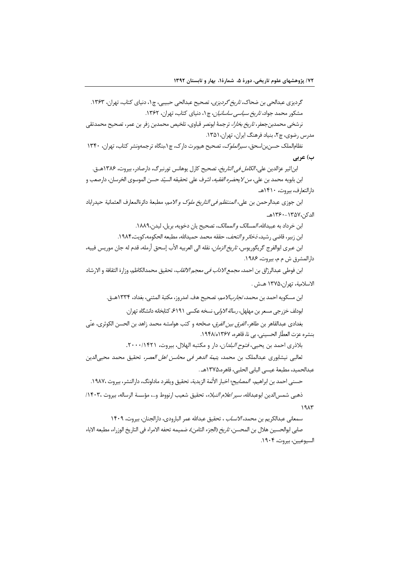گردیزی عبدالحی بن ضحاک، *تاریخ گردیزی*، تصحیح عبدالحی حبیبی، چ۱، دنیای کتاب، تهران، ۱۳۶۳. مشکور محمد جواد، *تاریخ سیاسی ساسانیان*، چ۱، دنیای کتاب، تهران، ۱۳۶۲. نرشخي محمدبن *جعفر، تاريخ بخارا*، ترجمهٔ ابونصر قباوي، تلخيص محمدبن زفر بن عمر، تصحيح محمدتقي مدرس رضوي، چ۲، بنياد فرهنگ ايران، تهران،۱۳۵۱. نظام الملک حسن بن اسحق، *سیر الملوک*، تصحیح هیوبرت دارک، چ ۱،بنگاه تر جمهونشر کتاب، تهران، ۱۳۴۰ ب) عربي ابناثير عزالدين علي، *الكامل في التاريخ*، تصحيح كارل يوهانس تورنبرگ، دارصادر، بيروت، ١٣٨۶هــق. ابن بابويه محمد بن علي، *من لايحضره الفقيه*، اشرف على تحقيقه السيّد حسن الموسوى الخرسان، دارصعب و دارالتعارف، بيروت، ١۴١٠هـ ابن جوزي عبدالرحمن بن علي، *المنتظم في التاريخ ملوك و الامم*، مطبعة دائرةالمعارف العثمانية حيدراباد الدكن،١٣٥٧-١٣۶٠هـ ابن خرداد به عبيدالله، *المسالک و الممالک*، تصحيح يان دخويه، بريل، ليدن،١٨٨٩. ابن زبير، قاضي رشيد، *نخائر و التحف*، حققه محمد حميدالله، مطبعه الحكومه، كويت،١٩٨۴. ابن عبري ابوالفرج گريگوريوس، *تاريخ الزمان*، نقله الي العربيه الأب إسحق أرمله، قدم له جان موريس فييه، دارالمشرق ش م م، بيروت، ١٩٨۶. ابن فوطي عبدالرزّاق بن احمد*، مجمع الاداب في معجم الالقاب*، تحقيق محمدالكاظم، وزارة الثقافة و الارشاد

الاسلامية، تهران،١٣٧۵ هـش .

ابن مسكويه احمد بن محمد، *تجاربالامم*، تصحيح هف. امدروز، مكتبة المثنى، بغداد، ١٣٣۴هــق.

ابودلف خزرجی مسعر بن مهلهل، *رسالة الاولی*، نسخه عکسی ۶۱۹۱ کتابخانه دانشگاه تهران.

بغدادى عبدالقاهر بن طاهر، *الفرق بين الفرق، صحّحه* و كتب هوامشه محمد زاهد بن الحسن الكوثرى، عنّى بنشره عزت العطّار الحسيني، بي نا، قاهره، ١٣۶٧ه/١٩۴٨.

بلاذري احمد بن يحيى، فتوح البلدان، دار و مكتبه الهلال، بيروت، ٢٠٠٠/١۴٢١.

ثعالبي نيشابوري عبدالملك بن محمد، *يتيمة الدهر في محاسن اهل العصر،* تحقيق محمد محيى الدين عبدالحميد، مطبعة عيسى البابي الحلبي، قاهره،١٣٧۵هـ .

حسني احمد بن ابراهيم، *المصابيح*؛ اخبار الأئمة الزيدية، تحقيق ويلفرد مادلونگ، دارالنشر، بيروت ١٩٨٧٠.

ذهبي شمس|لدين ابوعبدالله، *سير اعلام النبلاء*، تحقيق شعيب ارنووط و…، مؤسسة الرساله، بيروت ١۴٠٣، /  $19AY$ 

سمعاني عبدالكريم بن محمد، *الانساب* ، تحقيق عبدالله عمر البارودي، دارالجنان، بيروت، ١۴٠٩ صابي ابوالحسين هلال بن المحسن، *تاريخ* (الجزء الثامن)، ضميمه تحفه الامراء في التاريخ الوزراء، مطبعه الاباء السيوعيين، بيروت، ١٩٠۴.